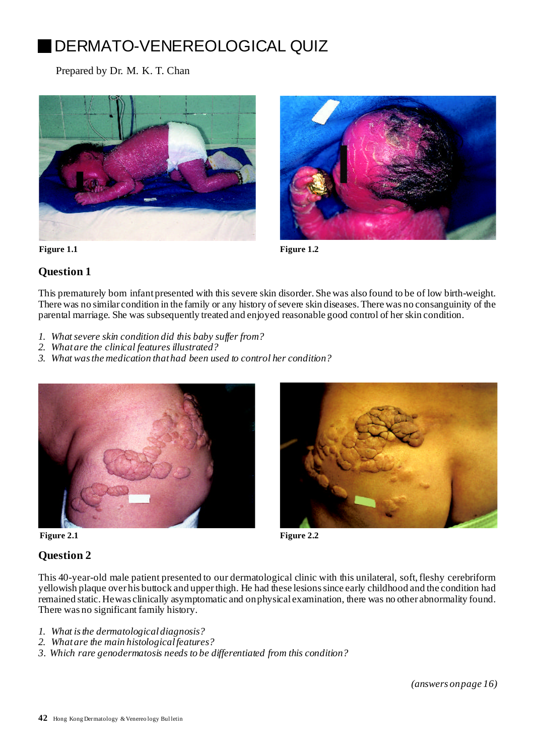# DERMATO-VENEREOLOGICAL QUIZ

Prepared by Dr. M. K. T. Chan





**Figure 1.1 Figure 1.2**

## **Question 1**

This prematurely born infantpresented with this severe skin disorder. She was also found to be of low birth-weight. There was no similar condition in the family or any history of severe skin diseases. There was no consanguinity of the parental marriage. She was subsequently treated and enjoyed reasonable good control of her skin condition.

- *1. Whatsevere skin condition did this baby suf er from?*
- *2. Whatare the clinical features illustrated?*
- *3. What wasthe medication thathad been used to control her condition?*





### **Figure 2.1 Figure 2.2**

#### **Question 2**

This 40-year-old male patient presented to our dermatological clinic with this unilateral, soft,fleshy cerebriform yellowish plaque over his buttock and upperthigh. He had these lesionssince early childhood and the condition had remained static. Hewas clinically asymptomatic and onphysical examination, there was no other abnormality found. There was no significant family history.

- *1. What isthe dermatologicaldiagnosis?*
- *2. Whatare the main histologicalfeatures?*
- *3. Which rare genodermatosis needs to be differentiated from this condition?*

*(answers onpage 16)*